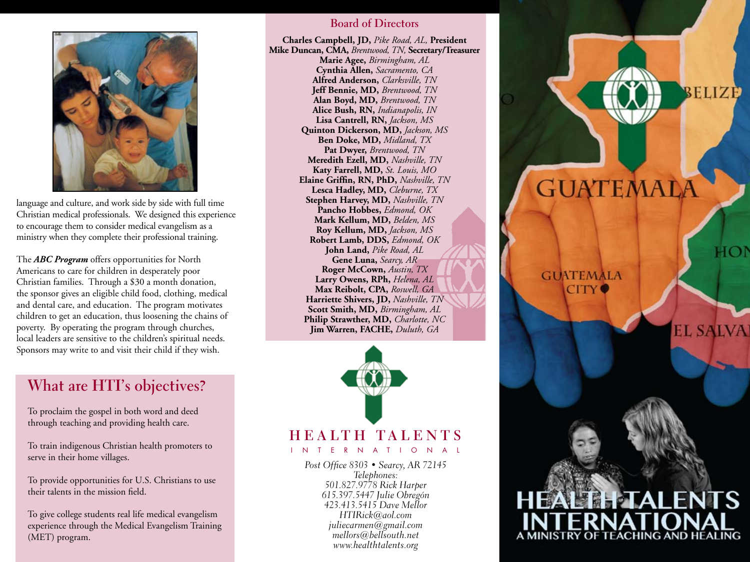

language and culture, and work side by side with full time Christian medical professionals. We designed this experience to encourage them to consider medical evangelism as a ministry when they complete their professional training.

The *ABC Program* offers opportunities for North Americans to care for children in desperately poor Christian families. Through a \$30 a month donation, the sponsor gives an eligible child food, clothing, medical and dental care, and education. The program motivates children to get an education, thus loosening the chains of poverty. By operating the program through churches, local leaders are sensitive to the children's spiritual needs. Sponsors may write to and visit their child if they wish.

## **What are HTI's objectives?**

To proclaim the gospel in both word and deed through teaching and providing health care.

To train indigenous Christian health promoters to serve in their home villages.

To provide opportunities for U.S. Christians to use their talents in the mission field.

To give college students real life medical evangelism experience through the Medical Evangelism Training (MET) program.

#### **Board of Directors**

**Charles Campbell, JD,** *Pike Road, AL,* **President Mike Duncan, CMA,** *Brentwood, TN,* **Secretary/Treasurer Marie Agee,** *Birmingham, AL* **Cynthia Allen,** *Sacramento, CA* **Alfred Anderson,** *Clarksville, TN* **Jeff Bennie, MD,** *Brentwood, TN* **Alan Boyd, MD,** *Brentwood, TN* **Alice Bush, RN,** *Indianapolis, IN* **Lisa Cantrell, RN,** *Jackson, MS* **Quinton Dickerson, MD,** *Jackson, MS* **Ben Doke, MD,** *Midland, TX* **Pat Dwyer,** *Brentwood, TN* **Meredith Ezell, MD,** *Nashville, TN* **Katy Farrell, MD,** *St. Louis, MO* **Elaine Griffin, RN, PhD,** *Nashville, TN* **Lesca Hadley, MD,** *Cleburne, TX* **Stephen Harvey, MD,** *Nashville, TN* **Pancho Hobbes,** *Edmond, OK* **Mark Kellum, MD,** *Belden, MS* **Roy Kellum, MD,** *Jackson, MS* **Robert Lamb, DDS,** *Edmond, OK* **John Land,** *Pike Road, AL* **Gene Luna,** *Searcy, AR* **Roger McCown,** *Austin, TX* **Larry Owens, RPh,** *Helena, AL* **Max Reibolt, CPA,** *Roswell, GA* **Harriette Shivers, JD,** *Nashville, TN* **Scott Smith, MD,** *Birmingham, AL* **Philip Strawther, MD,** *Charlotte, NC* **Jim Warren, FACHE,** *Duluth, GA*



### **HEALTH TALEN** INTERNATION

Post Office 8303 • Searcy, AR 72145 Telephones: 501.827.9778 Rick Harper 615.397.5447 Julie Obregón 423.413.5415 Dave Mellor HTIRick@aol.com juliecarmen@gmail.com mellors@bellsouth.net www.healthtalents.org

## GUATEMALA

BELIZE

**EL SALV** 

**GUATEMALA CITY** 

# A MINISTRY OF TEACHING AND HEALING